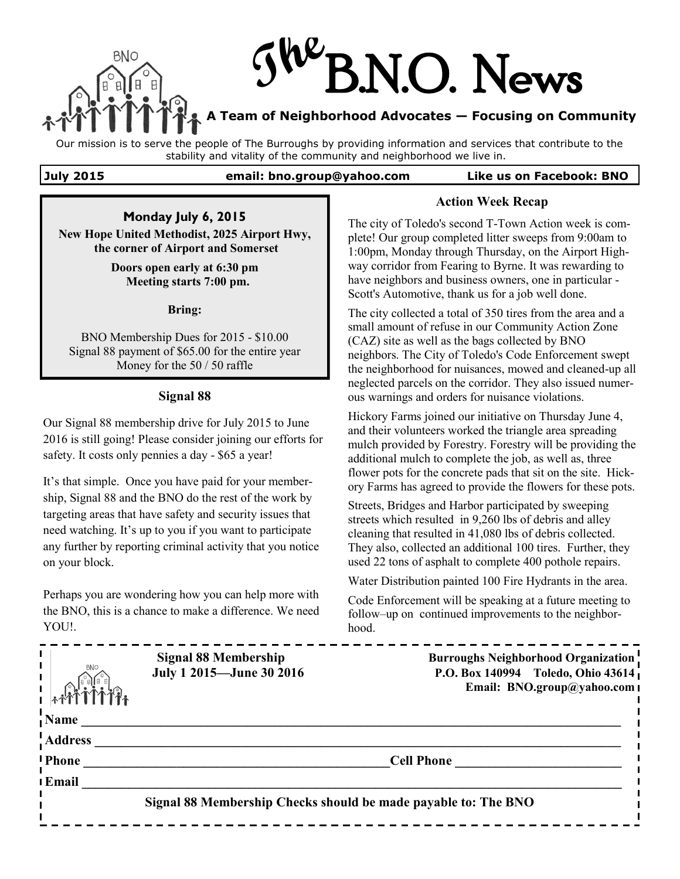

# N.O. News

# **A Team of Neighborhood Advocates — Focusing on Community**

Our mission is to serve the people of The Burroughs by providing information and services that contribute to the stability and vitality of the community and neighborhood we live in.

**July 2015 email: bno.group@yahoo.com Like us on Facebook: BNO**

**Monday July 6, 2015**

**New Hope United Methodist, 2025 Airport Hwy, the corner of Airport and Somerset**

> **Doors open early at 6:30 pm Meeting starts 7:00 pm.**

> > **Bring:**

BNO Membership Dues for 2015 - \$10.00 Signal 88 payment of \$65.00 for the entire year Money for the 50 / 50 raffle

# **Signal 88**

Our Signal 88 membership drive for July 2015 to June 2016 is still going! Please consider joining our efforts for safety. It costs only pennies a day - \$65 a year!

It's that simple. Once you have paid for your membership, Signal 88 and the BNO do the rest of the work by targeting areas that have safety and security issues that need watching. It's up to you if you want to participate any further by reporting criminal activity that you notice on your block.

Perhaps you are wondering how you can help more with the BNO, this is a chance to make a difference. We need YOU!.

**Action Week Recap** The city of Toledo's second T-Town Action week is com-

plete! Our group completed litter sweeps from 9:00am to 1:00pm, Monday through Thursday, on the Airport Highway corridor from Fearing to Byrne. It was rewarding to have neighbors and business owners, one in particular - Scott's Automotive, thank us for a job well done.

The city collected a total of 350 tires from the area and a small amount of refuse in our Community Action Zone (CAZ) site as well as the bags collected by BNO neighbors. The City of Toledo's Code Enforcement swept the neighborhood for nuisances, mowed and cleaned-up all neglected parcels on the corridor. They also issued numerous warnings and orders for nuisance violations.

Hickory Farms joined our initiative on Thursday June 4, and their volunteers worked the triangle area spreading mulch provided by Forestry. Forestry will be providing the additional mulch to complete the job, as well as, three flower pots for the concrete pads that sit on the site. Hickory Farms has agreed to provide the flowers for these pots.

Streets, Bridges and Harbor participated by sweeping streets which resulted in 9,260 lbs of debris and alley cleaning that resulted in 41,080 lbs of debris collected. They also, collected an additional 100 tires. Further, they used 22 tons of asphalt to complete 400 pothole repairs.

Water Distribution painted 100 Fire Hydrants in the area.

Code Enforcement will be speaking at a future meeting to follow–up on continued improvements to the neighborhood.

| BNC            | Signal 88 Membership<br>July 1 2015-June 30 2016               | <b>Burroughs Neighborhood Organization</b><br>P.O. Box 140994 Toledo, Ohio 43614<br>Email: BNO.group@yahoo.com I |
|----------------|----------------------------------------------------------------|------------------------------------------------------------------------------------------------------------------|
| Name           |                                                                |                                                                                                                  |
| <b>Address</b> |                                                                |                                                                                                                  |
| <b>Phone</b>   |                                                                | <b>Cell Phone</b>                                                                                                |
| Email          |                                                                |                                                                                                                  |
|                | Signal 88 Membership Checks should be made payable to: The BNO |                                                                                                                  |